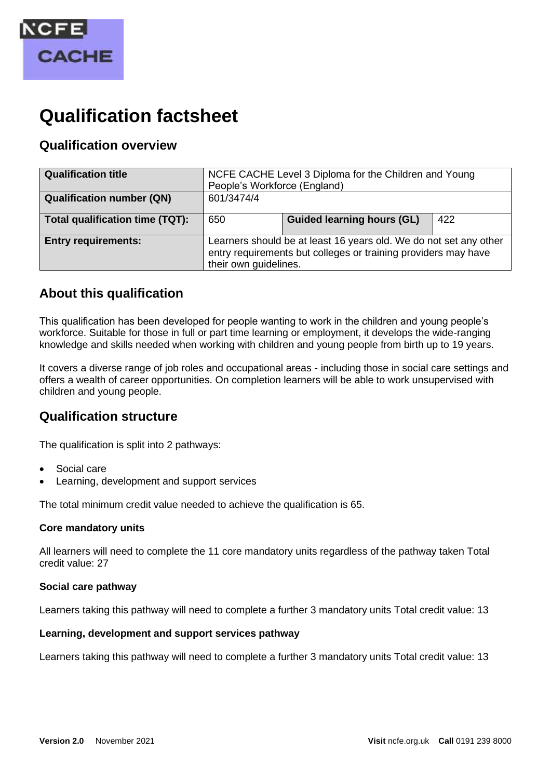

# **Qualification factsheet**

# **Qualification overview**

| <b>Qualification title</b>       | NCFE CACHE Level 3 Diploma for the Children and Young<br>People's Workforce (England)                                                                        |                                   |     |
|----------------------------------|--------------------------------------------------------------------------------------------------------------------------------------------------------------|-----------------------------------|-----|
| <b>Qualification number (QN)</b> | 601/3474/4                                                                                                                                                   |                                   |     |
| Total qualification time (TQT):  | 650                                                                                                                                                          | <b>Guided learning hours (GL)</b> | 422 |
| <b>Entry requirements:</b>       | Learners should be at least 16 years old. We do not set any other<br>entry requirements but colleges or training providers may have<br>their own guidelines. |                                   |     |

# **About this qualification**

This qualification has been developed for people wanting to work in the children and young people's workforce. Suitable for those in full or part time learning or employment, it develops the wide-ranging knowledge and skills needed when working with children and young people from birth up to 19 years.

It covers a diverse range of job roles and occupational areas - including those in social care settings and offers a wealth of career opportunities. On completion learners will be able to work unsupervised with children and young people.

## **Qualification structure**

The qualification is split into 2 pathways:

- Social care
- Learning, development and support services

The total minimum credit value needed to achieve the qualification is 65.

## **Core mandatory units**

All learners will need to complete the 11 core mandatory units regardless of the pathway taken Total credit value: 27

## **Social care pathway**

Learners taking this pathway will need to complete a further 3 mandatory units Total credit value: 13

## **Learning, development and support services pathway**

Learners taking this pathway will need to complete a further 3 mandatory units Total credit value: 13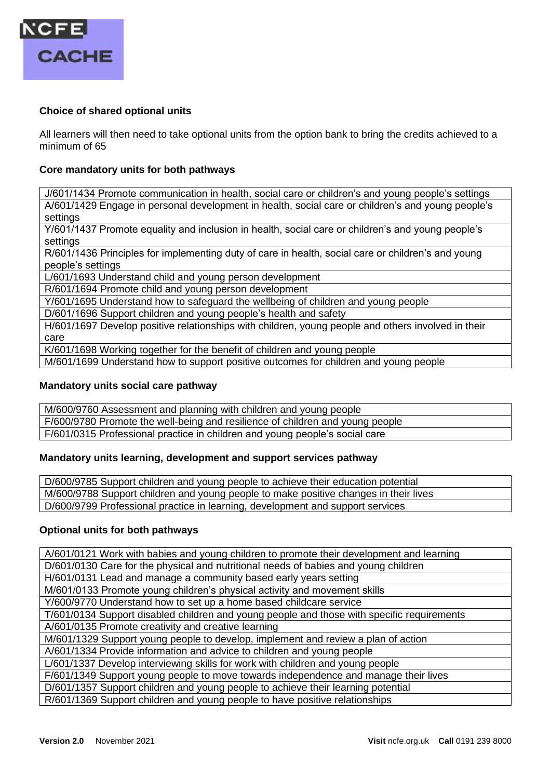

## **Choice of shared optional units**

All learners will then need to take optional units from the option bank to bring the credits achieved to a minimum of 65

#### **Core mandatory units for both pathways**

J/601/1434 Promote communication in health, social care or children's and young people's settings A/601/1429 Engage in personal development in health, social care or children's and young people's settings

Y/601/1437 Promote equality and inclusion in health, social care or children's and young people's settings

R/601/1436 Principles for implementing duty of care in health, social care or children's and young people's settings

L/601/1693 Understand child and young person development

R/601/1694 Promote child and young person development

Y/601/1695 Understand how to safeguard the wellbeing of children and young people

D/601/1696 Support children and young people's health and safety

H/601/1697 Develop positive relationships with children, young people and others involved in their care

K/601/1698 Working together for the benefit of children and young people

M/601/1699 Understand how to support positive outcomes for children and young people

## **Mandatory units social care pathway**

M/600/9760 Assessment and planning with children and young people

F/600/9780 Promote the well-being and resilience of children and young people

F/601/0315 Professional practice in children and young people's social care

## **Mandatory units learning, development and support services pathway**

D/600/9785 Support children and young people to achieve their education potential M/600/9788 Support children and young people to make positive changes in their lives D/600/9799 Professional practice in learning, development and support services

#### **Optional units for both pathways**

A/601/0121 Work with babies and young children to promote their development and learning

D/601/0130 Care for the physical and nutritional needs of babies and young children

H/601/0131 Lead and manage a community based early years setting

M/601/0133 Promote young children's physical activity and movement skills

Y/600/9770 Understand how to set up a home based childcare service

T/601/0134 Support disabled children and young people and those with specific requirements

A/601/0135 Promote creativity and creative learning

M/601/1329 Support young people to develop, implement and review a plan of action

A/601/1334 Provide information and advice to children and young people

L/601/1337 Develop interviewing skills for work with children and young people

F/601/1349 Support young people to move towards independence and manage their lives

D/601/1357 Support children and young people to achieve their learning potential

R/601/1369 Support children and young people to have positive relationships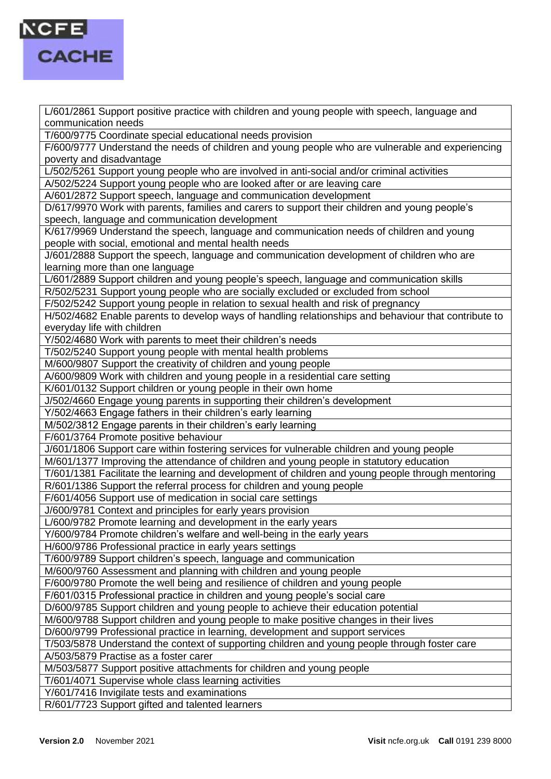

L/601/2861 Support positive practice with children and young people with speech, language and communication needs

T/600/9775 Coordinate special educational needs provision

F/600/9777 Understand the needs of children and young people who are vulnerable and experiencing poverty and disadvantage

L/502/5261 Support young people who are involved in anti-social and/or criminal activities

A/502/5224 Support young people who are looked after or are leaving care

A/601/2872 Support speech, language and communication development

D/617/9970 Work with parents, families and carers to support their children and young people's speech, language and communication development

K/617/9969 Understand the speech, language and communication needs of children and young people with social, emotional and mental health needs

J/601/2888 Support the speech, language and communication development of children who are learning more than one language

L/601/2889 Support children and young people's speech, language and communication skills

R/502/5231 Support young people who are socially excluded or excluded from school

F/502/5242 Support young people in relation to sexual health and risk of pregnancy

H/502/4682 Enable parents to develop ways of handling relationships and behaviour that contribute to everyday life with children

Y/502/4680 Work with parents to meet their children's needs

T/502/5240 Support young people with mental health problems

M/600/9807 Support the creativity of children and young people

A/600/9809 Work with children and young people in a residential care setting

K/601/0132 Support children or young people in their own home

J/502/4660 Engage young parents in supporting their children's development

Y/502/4663 Engage fathers in their children's early learning

M/502/3812 Engage parents in their children's early learning

F/601/3764 Promote positive behaviour

J/601/1806 Support care within fostering services for vulnerable children and young people

M/601/1377 Improving the attendance of children and young people in statutory education

T/601/1381 Facilitate the learning and development of children and young people through mentoring

R/601/1386 Support the referral process for children and young people

F/601/4056 Support use of medication in social care settings

J/600/9781 Context and principles for early years provision

L/600/9782 Promote learning and development in the early years

Y/600/9784 Promote children's welfare and well-being in the early years

H/600/9786 Professional practice in early years settings

T/600/9789 Support children's speech, language and communication

M/600/9760 Assessment and planning with children and young people

F/600/9780 Promote the well being and resilience of children and young people

F/601/0315 Professional practice in children and young people's social care

D/600/9785 Support children and young people to achieve their education potential

M/600/9788 Support children and young people to make positive changes in their lives

D/600/9799 Professional practice in learning, development and support services

T/503/5878 Understand the context of supporting children and young people through foster care

A/503/5879 Practise as a foster carer

M/503/5877 Support positive attachments for children and young people

T/601/4071 Supervise whole class learning activities

Y/601/7416 Invigilate tests and examinations

R/601/7723 Support gifted and talented learners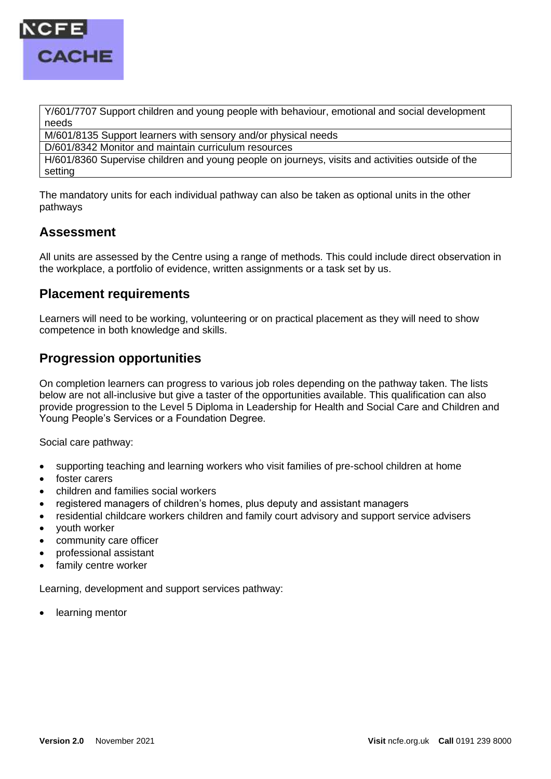

Y/601/7707 Support children and young people with behaviour, emotional and social development needs

M/601/8135 Support learners with sensory and/or physical needs

D/601/8342 Monitor and maintain curriculum resources

H/601/8360 Supervise children and young people on journeys, visits and activities outside of the setting

The mandatory units for each individual pathway can also be taken as optional units in the other pathways

## **Assessment**

All units are assessed by the Centre using a range of methods. This could include direct observation in the workplace, a portfolio of evidence, written assignments or a task set by us.

## **Placement requirements**

Learners will need to be working, volunteering or on practical placement as they will need to show competence in both knowledge and skills.

# **Progression opportunities**

On completion learners can progress to various job roles depending on the pathway taken. The lists below are not all-inclusive but give a taster of the opportunities available. This qualification can also provide progression to the Level 5 Diploma in Leadership for Health and Social Care and Children and Young People's Services or a Foundation Degree.

Social care pathway:

- supporting teaching and learning workers who visit families of pre-school children at home
- foster carers
- children and families social workers
- registered managers of children's homes, plus deputy and assistant managers
- residential childcare workers children and family court advisory and support service advisers
- youth worker
- community care officer
- professional assistant
- family centre worker

Learning, development and support services pathway:

learning mentor